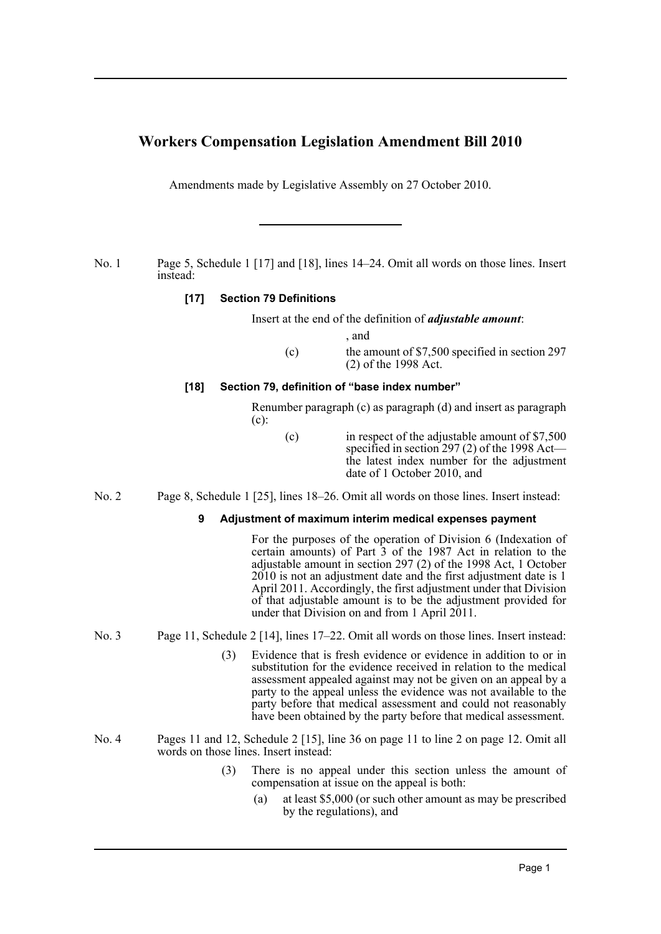# **Workers Compensation Legislation Amendment Bill 2010**

Amendments made by Legislative Assembly on 27 October 2010.

No. 1 Page 5, Schedule 1 [17] and [18], lines 14–24. Omit all words on those lines. Insert instead:

## **[17] Section 79 Definitions**

Insert at the end of the definition of *adjustable amount*:

, and

(c) the amount of \$7,500 specified in section 297 (2) of the 1998 Act.

## **[18] Section 79, definition of "base index number"**

Renumber paragraph (c) as paragraph (d) and insert as paragraph (c):

- (c) in respect of the adjustable amount of \$7,500 specified in section 297 (2) of the 1998 Act the latest index number for the adjustment date of 1 October 2010, and
- No. 2 Page 8, Schedule 1 [25], lines 18–26. Omit all words on those lines. Insert instead:

#### **9 Adjustment of maximum interim medical expenses payment**

For the purposes of the operation of Division 6 (Indexation of certain amounts) of Part 3 of the 1987 Act in relation to the adjustable amount in section 297 (2) of the 1998 Act, 1 October 2010 is not an adjustment date and the first adjustment date is 1 April 2011. Accordingly, the first adjustment under that Division of that adjustable amount is to be the adjustment provided for under that Division on and from 1 April 2011.

- No. 3 Page 11, Schedule 2 [14], lines 17–22. Omit all words on those lines. Insert instead:
	- (3) Evidence that is fresh evidence or evidence in addition to or in substitution for the evidence received in relation to the medical assessment appealed against may not be given on an appeal by a party to the appeal unless the evidence was not available to the party before that medical assessment and could not reasonably have been obtained by the party before that medical assessment.
- No. 4 Pages 11 and 12, Schedule 2 [15], line 36 on page 11 to line 2 on page 12. Omit all words on those lines. Insert instead:
	- (3) There is no appeal under this section unless the amount of compensation at issue on the appeal is both:
		- (a) at least \$5,000 (or such other amount as may be prescribed by the regulations), and